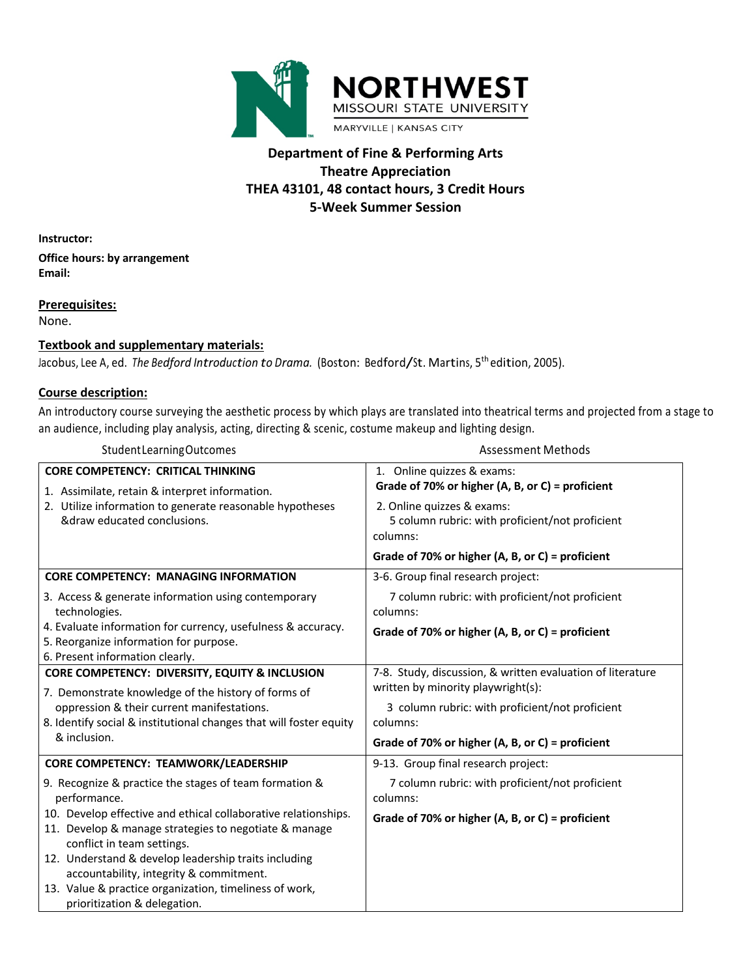

# **Department of Fine & Performing Arts Theatre Appreciation THEA 43101, 48 contact hours, 3 Credit Hours 5-Week Summer Session**

**Instructor:** 

**Office hours: by arrangement Email:** 

**Prerequisites:**

None.

#### **Textbook and supplementary materials:**

Jacobus, Lee A, ed. *The Bedford Introduction to Drama.* (Boston: Bedford/St. Martins, <sup>5</sup>th edition, 2005).

#### **Course description:**

An introductory course surveying the aesthetic process by which plays are translated into theatrical terms and projected from a stage to an audience, including play analysis, acting, directing & scenic, costume makeup and lighting design.

| Student Learning Outcomes                                                                                                                                                              | <b>Assessment Methods</b>                                                                                                                                       |  |  |
|----------------------------------------------------------------------------------------------------------------------------------------------------------------------------------------|-----------------------------------------------------------------------------------------------------------------------------------------------------------------|--|--|
| <b>CORE COMPETENCY: CRITICAL THINKING</b><br>1. Assimilate, retain & interpret information.<br>2. Utilize information to generate reasonable hypotheses<br>&draw educated conclusions. | 1. Online quizzes & exams:<br>Grade of 70% or higher (A, B, or C) = proficient<br>2. Online quizzes & exams:<br>5 column rubric: with proficient/not proficient |  |  |
|                                                                                                                                                                                        | columns:<br>Grade of 70% or higher (A, B, or C) = proficient                                                                                                    |  |  |
| <b>CORE COMPETENCY: MANAGING INFORMATION</b>                                                                                                                                           | 3-6. Group final research project:                                                                                                                              |  |  |
| 3. Access & generate information using contemporary<br>technologies.                                                                                                                   | 7 column rubric: with proficient/not proficient<br>columns:                                                                                                     |  |  |
| 4. Evaluate information for currency, usefulness & accuracy.<br>5. Reorganize information for purpose.<br>6. Present information clearly.                                              | Grade of 70% or higher (A, B, or C) = proficient                                                                                                                |  |  |
| CORE COMPETENCY: DIVERSITY, EQUITY & INCLUSION<br>7. Demonstrate knowledge of the history of forms of                                                                                  | 7-8. Study, discussion, & written evaluation of literature<br>written by minority playwright(s):                                                                |  |  |
| oppression & their current manifestations.<br>8. Identify social & institutional changes that will foster equity                                                                       | 3 column rubric: with proficient/not proficient<br>columns:                                                                                                     |  |  |
| & inclusion.                                                                                                                                                                           | Grade of 70% or higher (A, B, or C) = proficient                                                                                                                |  |  |
| CORE COMPETENCY: TEAMWORK/LEADERSHIP                                                                                                                                                   | 9-13. Group final research project:                                                                                                                             |  |  |
| 9. Recognize & practice the stages of team formation &<br>performance.                                                                                                                 | 7 column rubric: with proficient/not proficient<br>columns:                                                                                                     |  |  |
| 10. Develop effective and ethical collaborative relationships.<br>11. Develop & manage strategies to negotiate & manage<br>conflict in team settings.                                  | Grade of 70% or higher (A, B, or C) = proficient                                                                                                                |  |  |
| 12. Understand & develop leadership traits including<br>accountability, integrity & commitment.                                                                                        |                                                                                                                                                                 |  |  |
| 13. Value & practice organization, timeliness of work,<br>prioritization & delegation.                                                                                                 |                                                                                                                                                                 |  |  |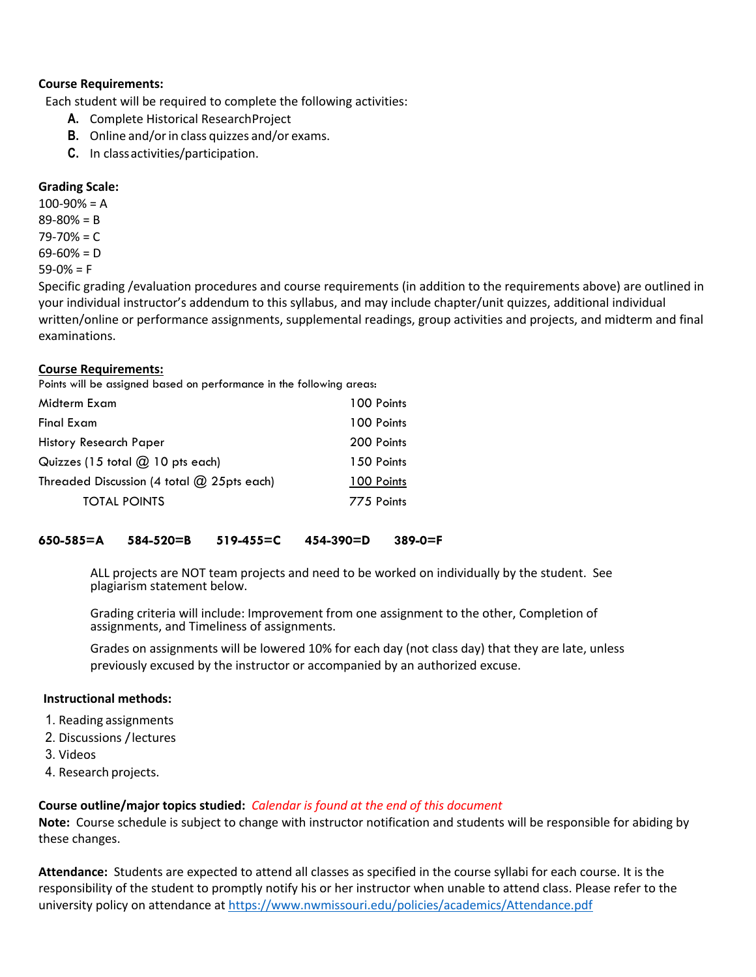#### **Course Requirements:**

Each student will be required to complete the following activities:

- **A.** Complete Historical ResearchProject
- **B.** Online and/or in class quizzes and/or exams.
- **C.** In classactivities/participation.

### **Grading Scale:**

100-90% = A 89-80% = B 79-70% = C  $69-60% = D$  $59-0% = F$ 

Specific grading /evaluation procedures and course requirements (in addition to the requirements above) are outlined in your individual instructor's addendum to this syllabus, and may include chapter/unit quizzes, additional individual written/online or performance assignments, supplemental readings, group activities and projects, and midterm and final examinations.

#### **Course Requirements:**

Points will be assigned based on performance in the following areas:

| 100 Points |
|------------|
| 100 Points |
| 200 Points |
| 150 Points |
| 100 Points |
| 775 Points |
|            |

#### **650-585=A 584-520=B 519-455=C 454-390=D 389-0=F**

ALL projects are NOT team projects and need to be worked on individually by the student. See plagiarism statement below.

Grading criteria will include: Improvement from one assignment to the other, Completion of assignments, and Timeliness of assignments.

Grades on assignments will be lowered 10% for each day (not class day) that they are late, unless previously excused by the instructor or accompanied by an authorized excuse.

#### **Instructional methods:**

- 1. Reading assignments
- 2. Discussions /lectures
- 3. Videos
- 4. Research projects.

#### **Course outline/major topics studied:** *Calendar is found at the end of this document*

**Note:** Course schedule is subject to change with instructor notification and students will be responsible for abiding by these changes.

**Attendance:** Students are expected to attend all classes as specified in the course syllabi for each course. It is the responsibility of the student to promptly notify his or her instructor when unable to attend class. Please refer to the university policy on attendance at https://www.nwmissouri.edu/policies/academics/Attendance.pdf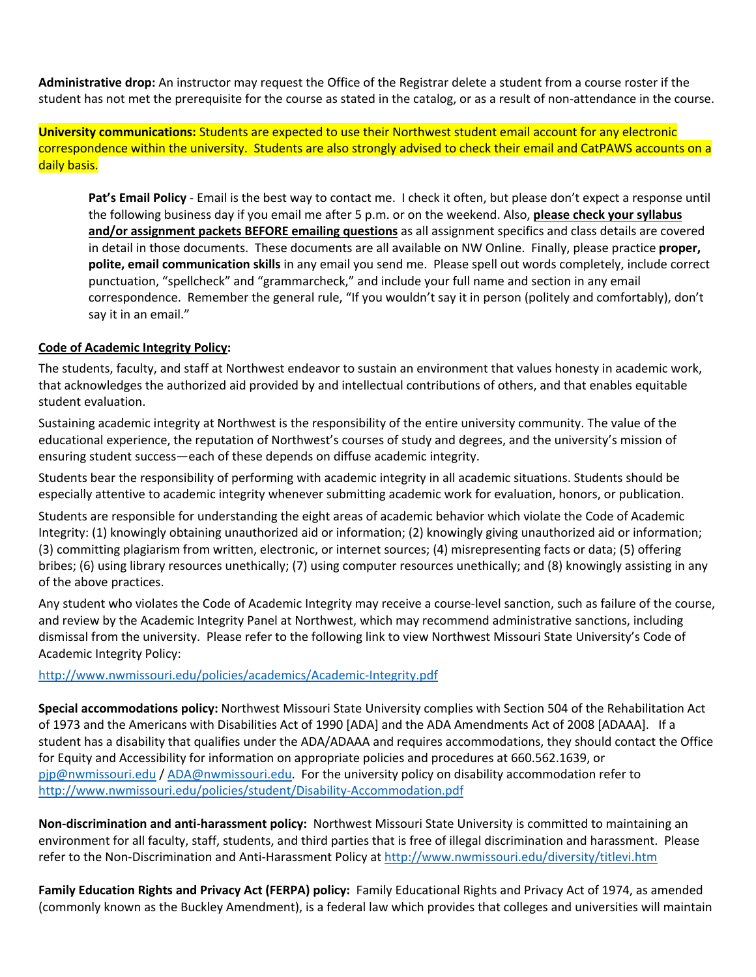**Administrative drop:** An instructor may request the Office of the Registrar delete a student from a course roster if the student has not met the prerequisite for the course as stated in the catalog, or as a result of non-attendance in the course.

**University communications:** Students are expected to use their Northwest student email account for any electronic correspondence within the university. Students are also strongly advised to check their email and CatPAWS accounts on a daily basis.

**Pat's Email Policy** - Email is the best way to contact me. I check it often, but please don't expect a response until the following business day if you email me after 5 p.m. or on the weekend. Also, **please check your syllabus and/or assignment packets BEFORE emailing questions** as all assignment specifics and class details are covered in detail in those documents. These documents are all available on NW Online. Finally, please practice **proper, polite, email communication skills** in any email you send me. Please spell out words completely, include correct punctuation, "spellcheck" and "grammarcheck," and include your full name and section in any email correspondence. Remember the general rule, "If you wouldn't say it in person (politely and comfortably), don't say it in an email."

#### **Code of Academic Integrity Policy:**

The students, faculty, and staff at Northwest endeavor to sustain an environment that values honesty in academic work, that acknowledges the authorized aid provided by and intellectual contributions of others, and that enables equitable student evaluation.

Sustaining academic integrity at Northwest is the responsibility of the entire university community. The value of the educational experience, the reputation of Northwest's courses of study and degrees, and the university's mission of ensuring student success—each of these depends on diffuse academic integrity.

Students bear the responsibility of performing with academic integrity in all academic situations. Students should be especially attentive to academic integrity whenever submitting academic work for evaluation, honors, or publication.

Students are responsible for understanding the eight areas of academic behavior which violate the Code of Academic Integrity: (1) knowingly obtaining unauthorized aid or information; (2) knowingly giving unauthorized aid or information; (3) committing plagiarism from written, electronic, or internet sources; (4) misrepresenting facts or data; (5) offering bribes; (6) using library resources unethically; (7) using computer resources unethically; and (8) knowingly assisting in any of the above practices.

Any student who violates the Code of Academic Integrity may receive a course-level sanction, such as failure of the course, and review by the Academic Integrity Panel at Northwest, which may recommend administrative sanctions, including dismissal from the university. Please refer to the following link to view Northwest Missouri State University's Code of Academic Integrity Policy:

http://www.nwmissouri.edu/policies/academics/Academic-Integrity.pdf

**Special accommodations policy:** Northwest Missouri State University complies with Section 504 of the Rehabilitation Act of 1973 and the Americans with Disabilities Act of 1990 [ADA] and the ADA Amendments Act of 2008 [ADAAA]. If a student has a disability that qualifies under the ADA/ADAAA and requires accommodations, they should contact the Office for Equity and Accessibility for information on appropriate policies and procedures at 660.562.1639, or pjp@nwmissouri.edu / ADA@nwmissouri.edu. For the university policy on disability accommodation refer to http://www.nwmissouri.edu/policies/student/Disability-Accommodation.pdf

**Non-discrimination and anti-harassment policy:** Northwest Missouri State University is committed to maintaining an environment for all faculty, staff, students, and third parties that is free of illegal discrimination and harassment. Please refer to the Non-Discrimination and Anti-Harassment Policy at http://www.nwmissouri.edu/diversity/titlevi.htm

**Family Education Rights and Privacy Act (FERPA) policy:** Family Educational Rights and Privacy Act of 1974, as amended (commonly known as the Buckley Amendment), is a federal law which provides that colleges and universities will maintain